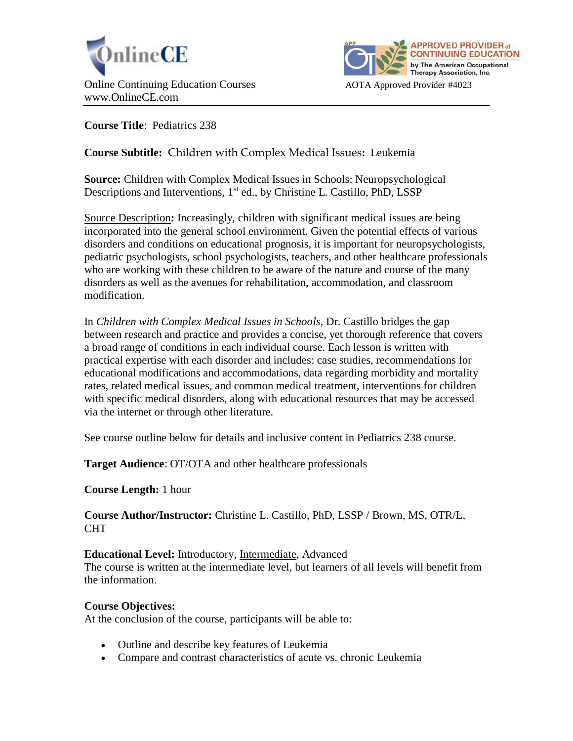



**Course Title**: Pediatrics 238

# **Course Subtitle:** Children with Complex Medical Issues**:** Leukemia

**Source:** Children with Complex Medical Issues in Schools: Neuropsychological Descriptions and Interventions, 1<sup>st</sup> ed., by Christine L. Castillo, PhD, LSSP

Source Description**:** Increasingly, children with significant medical issues are being incorporated into the general school environment. Given the potential effects of various disorders and conditions on educational prognosis, it is important for neuropsychologists, pediatric psychologists, school psychologists, teachers, and other healthcare professionals who are working with these children to be aware of the nature and course of the many disorders as well as the avenues for rehabilitation, accommodation, and classroom modification.

In *Children with Complex Medical Issues in Schools*, Dr. Castillo bridges the gap between research and practice and provides a concise, yet thorough reference that covers a broad range of conditions in each individual course. Each lesson is written with practical expertise with each disorder and includes: case studies, recommendations for educational modifications and accommodations, data regarding morbidity and mortality rates, related medical issues, and common medical treatment, interventions for children with specific medical disorders, along with educational resources that may be accessed via the internet or through other literature.

See course outline below for details and inclusive content in Pediatrics 238 course.

**Target Audience**: OT/OTA and other healthcare professionals

**Course Length:** 1 hour

**Course Author/Instructor:** Christine L. Castillo, PhD, LSSP / Brown, MS, OTR/L, **CHT** 

## **Educational Level:** Introductory, Intermediate, Advanced

The course is written at the intermediate level, but learners of all levels will benefit from the information.

## **Course Objectives:**

At the conclusion of the course, participants will be able to:

- Outline and describe key features of Leukemia
- Compare and contrast characteristics of acute vs. chronic Leukemia